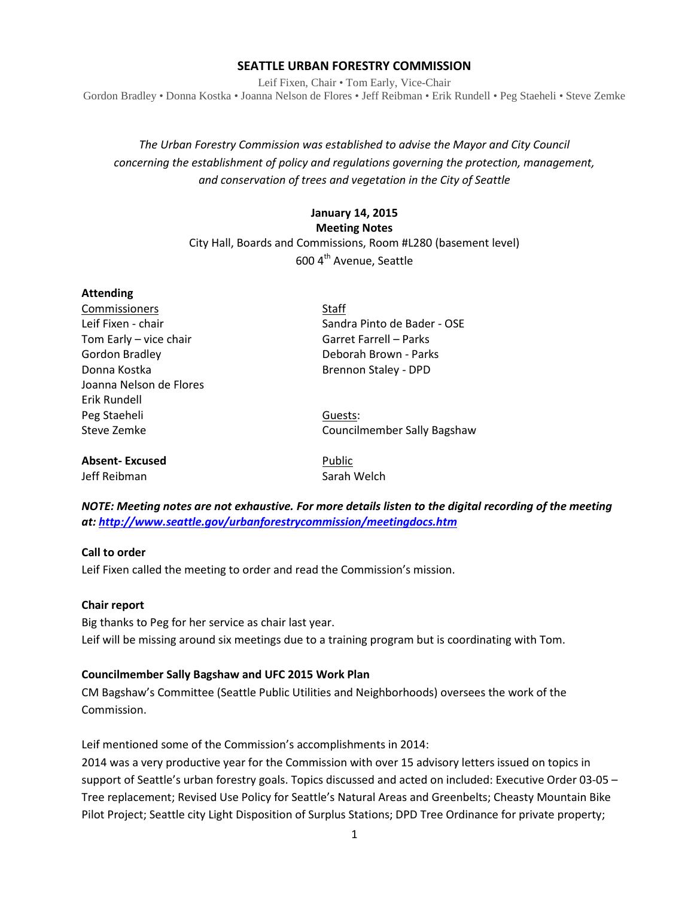#### **SEATTLE URBAN FORESTRY COMMISSION**

Leif Fixen, Chair • Tom Early, Vice-Chair Gordon Bradley • Donna Kostka • Joanna Nelson de Flores • Jeff Reibman • Erik Rundell • Peg Staeheli • Steve Zemke

# *The Urban Forestry Commission was established to advise the Mayor and City Council concerning the establishment of policy and regulations governing the protection, management, and conservation of trees and vegetation in the City of Seattle*

## **January 14, 2015 Meeting Notes** City Hall, Boards and Commissions, Room #L280 (basement level)

600 4th Avenue, Seattle

| <b>Attending</b>                        |                             |
|-----------------------------------------|-----------------------------|
| Commissioners                           | <b>Staff</b>                |
| Leif Fixen - chair                      | Sandra Pinto de Bader - OSE |
| Tom Early - vice chair                  | Garret Farrell – Parks      |
| Gordon Bradley                          | Deborah Brown - Parks       |
| Donna Kostka                            | Brennon Staley - DPD        |
| Joanna Nelson de Flores<br>Erik Rundell |                             |
|                                         |                             |
| Steve Zemke                             | Councilmember Sally Bagshaw |
| <b>Absent-Excused</b>                   | Public                      |

Jeff Reibman Sarah Welch

*NOTE: Meeting notes are not exhaustive. For more details listen to the digital recording of the meeting at:<http://www.seattle.gov/urbanforestrycommission/meetingdocs.htm>*

#### **Call to order**

Leif Fixen called the meeting to order and read the Commission's mission.

#### **Chair report**

Big thanks to Peg for her service as chair last year. Leif will be missing around six meetings due to a training program but is coordinating with Tom.

#### **Councilmember Sally Bagshaw and UFC 2015 Work Plan**

CM Bagshaw's Committee (Seattle Public Utilities and Neighborhoods) oversees the work of the Commission.

Leif mentioned some of the Commission's accomplishments in 2014:

2014 was a very productive year for the Commission with over 15 advisory letters issued on topics in support of Seattle's urban forestry goals. Topics discussed and acted on included: Executive Order 03-05 – Tree replacement; Revised Use Policy for Seattle's Natural Areas and Greenbelts; Cheasty Mountain Bike Pilot Project; Seattle city Light Disposition of Surplus Stations; DPD Tree Ordinance for private property;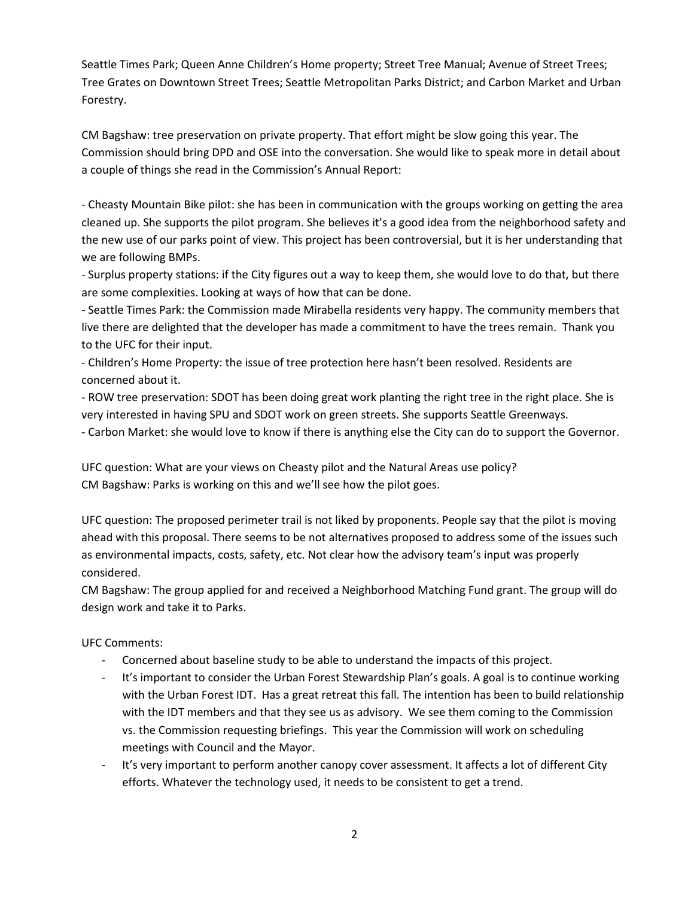Seattle Times Park; Queen Anne Children's Home property; Street Tree Manual; Avenue of Street Trees; Tree Grates on Downtown Street Trees; Seattle Metropolitan Parks District; and Carbon Market and Urban Forestry.

CM Bagshaw: tree preservation on private property. That effort might be slow going this year. The Commission should bring DPD and OSE into the conversation. She would like to speak more in detail about a couple of things she read in the Commission's Annual Report:

- Cheasty Mountain Bike pilot: she has been in communication with the groups working on getting the area cleaned up. She supports the pilot program. She believes it's a good idea from the neighborhood safety and the new use of our parks point of view. This project has been controversial, but it is her understanding that we are following BMPs.

- Surplus property stations: if the City figures out a way to keep them, she would love to do that, but there are some complexities. Looking at ways of how that can be done.

- Seattle Times Park: the Commission made Mirabella residents very happy. The community members that live there are delighted that the developer has made a commitment to have the trees remain. Thank you to the UFC for their input.

- Children's Home Property: the issue of tree protection here hasn't been resolved. Residents are concerned about it.

- ROW tree preservation: SDOT has been doing great work planting the right tree in the right place. She is very interested in having SPU and SDOT work on green streets. She supports Seattle Greenways.

- Carbon Market: she would love to know if there is anything else the City can do to support the Governor.

UFC question: What are your views on Cheasty pilot and the Natural Areas use policy? CM Bagshaw: Parks is working on this and we'll see how the pilot goes.

UFC question: The proposed perimeter trail is not liked by proponents. People say that the pilot is moving ahead with this proposal. There seems to be not alternatives proposed to address some of the issues such as environmental impacts, costs, safety, etc. Not clear how the advisory team's input was properly considered.

CM Bagshaw: The group applied for and received a Neighborhood Matching Fund grant. The group will do design work and take it to Parks.

UFC Comments:

- Concerned about baseline study to be able to understand the impacts of this project.
- It's important to consider the Urban Forest Stewardship Plan's goals. A goal is to continue working with the Urban Forest IDT. Has a great retreat this fall. The intention has been to build relationship with the IDT members and that they see us as advisory. We see them coming to the Commission vs. the Commission requesting briefings. This year the Commission will work on scheduling meetings with Council and the Mayor.
- It's very important to perform another canopy cover assessment. It affects a lot of different City efforts. Whatever the technology used, it needs to be consistent to get a trend.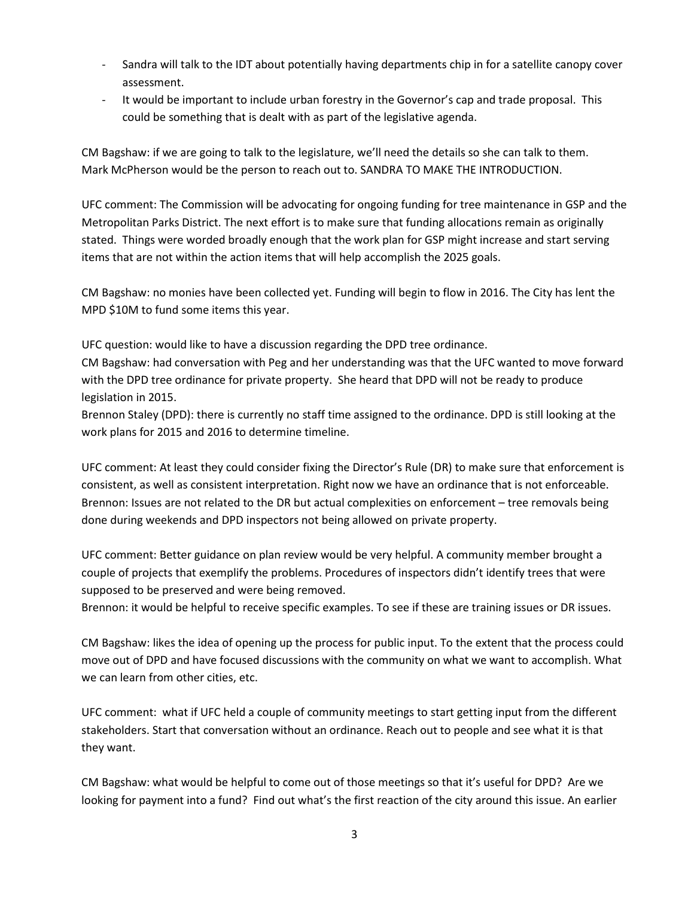- Sandra will talk to the IDT about potentially having departments chip in for a satellite canopy cover assessment.
- It would be important to include urban forestry in the Governor's cap and trade proposal. This could be something that is dealt with as part of the legislative agenda.

CM Bagshaw: if we are going to talk to the legislature, we'll need the details so she can talk to them. Mark McPherson would be the person to reach out to. SANDRA TO MAKE THE INTRODUCTION.

UFC comment: The Commission will be advocating for ongoing funding for tree maintenance in GSP and the Metropolitan Parks District. The next effort is to make sure that funding allocations remain as originally stated. Things were worded broadly enough that the work plan for GSP might increase and start serving items that are not within the action items that will help accomplish the 2025 goals.

CM Bagshaw: no monies have been collected yet. Funding will begin to flow in 2016. The City has lent the MPD \$10M to fund some items this year.

UFC question: would like to have a discussion regarding the DPD tree ordinance.

CM Bagshaw: had conversation with Peg and her understanding was that the UFC wanted to move forward with the DPD tree ordinance for private property. She heard that DPD will not be ready to produce legislation in 2015.

Brennon Staley (DPD): there is currently no staff time assigned to the ordinance. DPD is still looking at the work plans for 2015 and 2016 to determine timeline.

UFC comment: At least they could consider fixing the Director's Rule (DR) to make sure that enforcement is consistent, as well as consistent interpretation. Right now we have an ordinance that is not enforceable. Brennon: Issues are not related to the DR but actual complexities on enforcement – tree removals being done during weekends and DPD inspectors not being allowed on private property.

UFC comment: Better guidance on plan review would be very helpful. A community member brought a couple of projects that exemplify the problems. Procedures of inspectors didn't identify trees that were supposed to be preserved and were being removed.

Brennon: it would be helpful to receive specific examples. To see if these are training issues or DR issues.

CM Bagshaw: likes the idea of opening up the process for public input. To the extent that the process could move out of DPD and have focused discussions with the community on what we want to accomplish. What we can learn from other cities, etc.

UFC comment: what if UFC held a couple of community meetings to start getting input from the different stakeholders. Start that conversation without an ordinance. Reach out to people and see what it is that they want.

CM Bagshaw: what would be helpful to come out of those meetings so that it's useful for DPD? Are we looking for payment into a fund? Find out what's the first reaction of the city around this issue. An earlier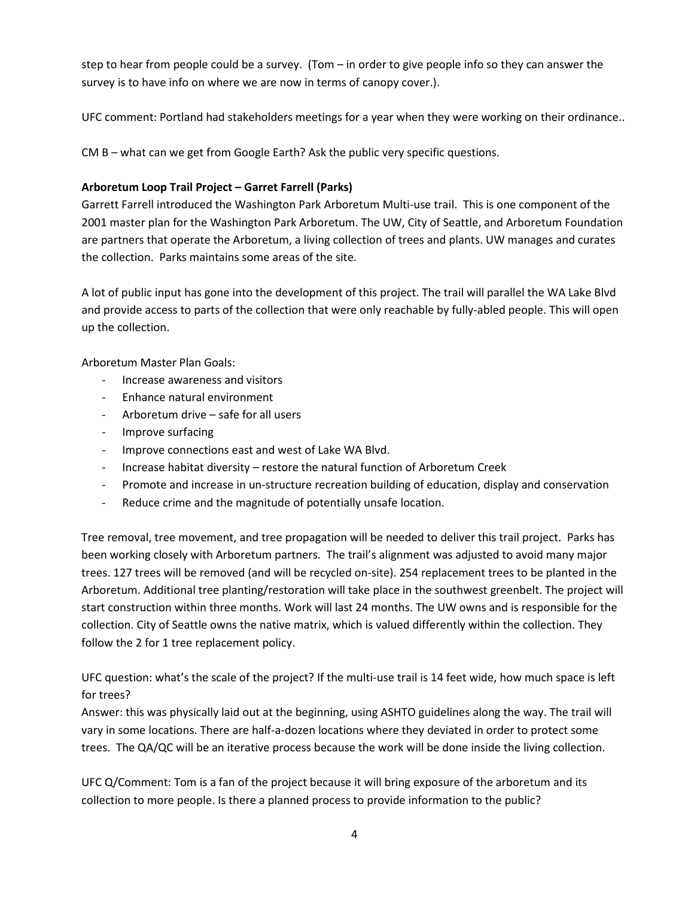step to hear from people could be a survey. (Tom – in order to give people info so they can answer the survey is to have info on where we are now in terms of canopy cover.).

UFC comment: Portland had stakeholders meetings for a year when they were working on their ordinance..

CM B – what can we get from Google Earth? Ask the public very specific questions.

### **Arboretum Loop Trail Project – Garret Farrell (Parks)**

Garrett Farrell introduced the Washington Park Arboretum Multi-use trail. This is one component of the 2001 master plan for the Washington Park Arboretum. The UW, City of Seattle, and Arboretum Foundation are partners that operate the Arboretum, a living collection of trees and plants. UW manages and curates the collection. Parks maintains some areas of the site.

A lot of public input has gone into the development of this project. The trail will parallel the WA Lake Blvd and provide access to parts of the collection that were only reachable by fully-abled people. This will open up the collection.

Arboretum Master Plan Goals:

- Increase awareness and visitors
- Enhance natural environment
- Arboretum drive safe for all users
- Improve surfacing
- Improve connections east and west of Lake WA Blvd.
- Increase habitat diversity restore the natural function of Arboretum Creek
- Promote and increase in un-structure recreation building of education, display and conservation
- Reduce crime and the magnitude of potentially unsafe location.

Tree removal, tree movement, and tree propagation will be needed to deliver this trail project. Parks has been working closely with Arboretum partners. The trail's alignment was adjusted to avoid many major trees. 127 trees will be removed (and will be recycled on-site). 254 replacement trees to be planted in the Arboretum. Additional tree planting/restoration will take place in the southwest greenbelt. The project will start construction within three months. Work will last 24 months. The UW owns and is responsible for the collection. City of Seattle owns the native matrix, which is valued differently within the collection. They follow the 2 for 1 tree replacement policy.

UFC question: what's the scale of the project? If the multi-use trail is 14 feet wide, how much space is left for trees?

Answer: this was physically laid out at the beginning, using ASHTO guidelines along the way. The trail will vary in some locations. There are half-a-dozen locations where they deviated in order to protect some trees. The QA/QC will be an iterative process because the work will be done inside the living collection.

UFC Q/Comment: Tom is a fan of the project because it will bring exposure of the arboretum and its collection to more people. Is there a planned process to provide information to the public?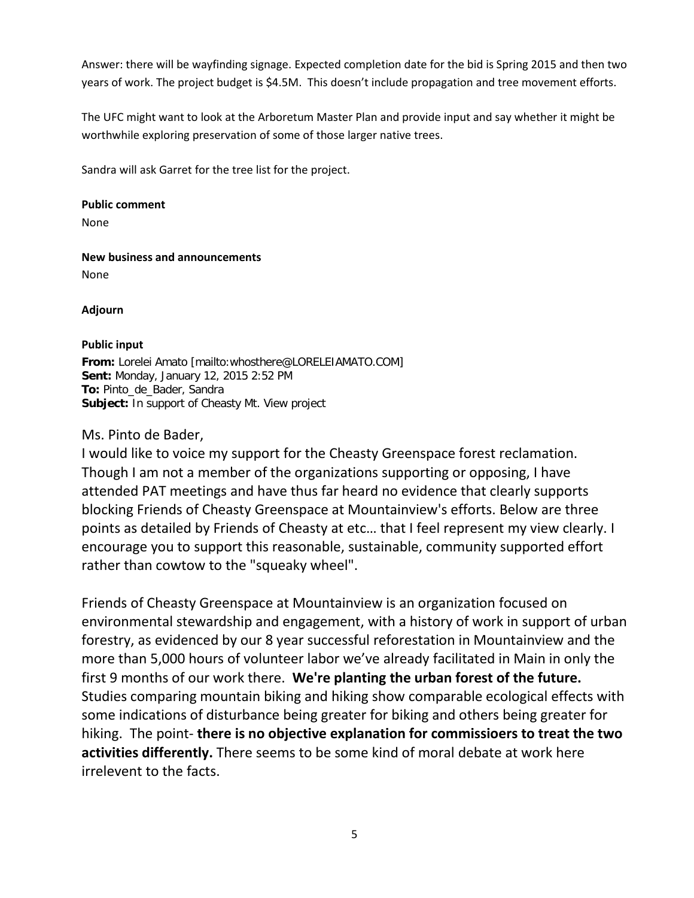Answer: there will be wayfinding signage. Expected completion date for the bid is Spring 2015 and then two years of work. The project budget is \$4.5M. This doesn't include propagation and tree movement efforts.

The UFC might want to look at the Arboretum Master Plan and provide input and say whether it might be worthwhile exploring preservation of some of those larger native trees.

Sandra will ask Garret for the tree list for the project.

**Public comment**

None

**New business and announcements** None

**Adjourn**

### **Public input**

**From:** Lorelei Amato [mailto:whosthere@LORELEIAMATO.COM] **Sent:** Monday, January 12, 2015 2:52 PM **To:** Pinto\_de\_Bader, Sandra **Subject:** In support of Cheasty Mt. View project

## Ms. Pinto de Bader,

I would like to voice my support for the Cheasty Greenspace forest reclamation. Though I am not a member of the organizations supporting or opposing, I have attended PAT meetings and have thus far heard no evidence that clearly supports blocking Friends of Cheasty Greenspace at Mountainview's efforts. Below are three points as detailed by Friends of Cheasty at etc… that I feel represent my view clearly. I encourage you to support this reasonable, sustainable, community supported effort rather than cowtow to the "squeaky wheel".

Friends of Cheasty Greenspace at Mountainview is an organization focused on environmental stewardship and engagement, with a history of work in support of urban forestry, as evidenced by our 8 year successful reforestation in Mountainview and the more than 5,000 hours of volunteer labor we've already facilitated in Main in only the first 9 months of our work there. **We're planting the urban forest of the future.** Studies comparing mountain biking and hiking show comparable ecological effects with some indications of disturbance being greater for biking and others being greater for hiking. The point- **there is no objective explanation for commissioers to treat the two activities differently.** There seems to be some kind of moral debate at work here irrelevent to the facts.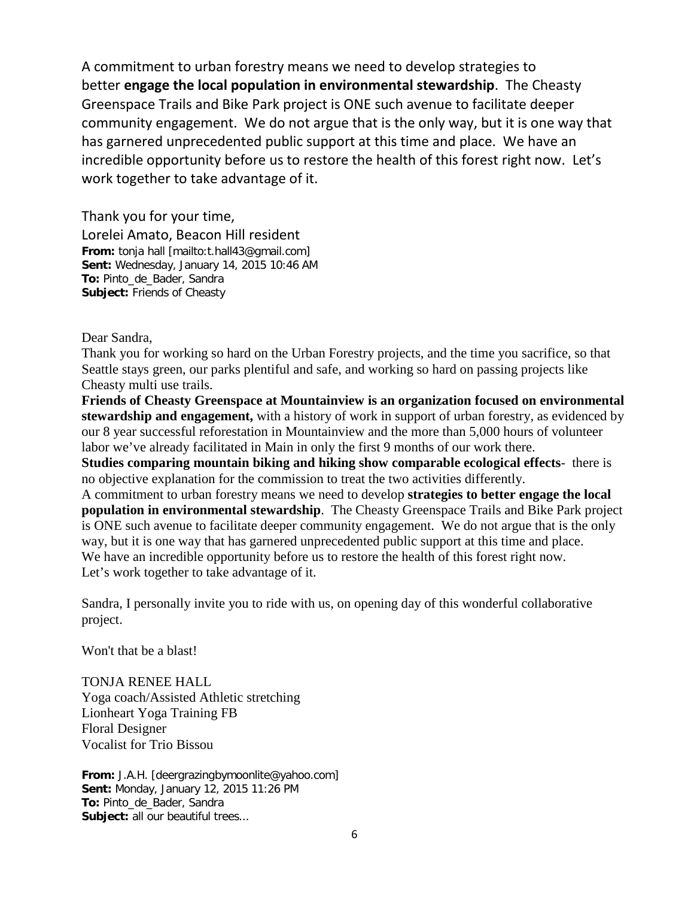A commitment to urban forestry means we need to develop strategies to better **engage the local population in environmental stewardship**. The Cheasty Greenspace Trails and Bike Park project is ONE such avenue to facilitate deeper community engagement. We do not argue that is the only way, but it is one way that has garnered unprecedented public support at this time and place. We have an incredible opportunity before us to restore the health of this forest right now. Let's work together to take advantage of it.

Thank you for your time, Lorelei Amato, Beacon Hill resident **From:** tonja hall [mailto:t.hall43@gmail.com] **Sent:** Wednesday, January 14, 2015 10:46 AM **To:** Pinto\_de\_Bader, Sandra **Subject:** Friends of Cheasty

Dear Sandra,

Thank you for working so hard on the Urban Forestry projects, and the time you sacrifice, so that Seattle stays green, our parks plentiful and safe, and working so hard on passing projects like Cheasty multi use trails.

**Friends of Cheasty Greenspace at Mountainview is an organization focused on environmental stewardship and engagement,** with a history of work in support of urban forestry, as evidenced by our 8 year successful reforestation in Mountainview and the more than 5,000 hours of volunteer labor we've already facilitated in Main in only the first 9 months of our work there.

**Studies comparing mountain biking and hiking show comparable ecological effects**- there is no objective explanation for the commission to treat the two activities differently.

A commitment to urban forestry means we need to develop **strategies to better engage the local population in environmental stewardship**. The Cheasty Greenspace Trails and Bike Park project is ONE such avenue to facilitate deeper community engagement. We do not argue that is the only way, but it is one way that has garnered unprecedented public support at this time and place. We have an incredible opportunity before us to restore the health of this forest right now. Let's work together to take advantage of it.

Sandra, I personally invite you to ride with us, on opening day of this wonderful collaborative project.

Won't that be a blast!

TONJA RENEE HALL Yoga coach/Assisted Athletic stretching Lionheart Yoga Training FB Floral Designer Vocalist for Trio Bissou

**From:** J.A.H. [deergrazingbymoonlite@yahoo.com] **Sent:** Monday, January 12, 2015 11:26 PM **To:** Pinto\_de\_Bader, Sandra Subject: all our beautiful trees...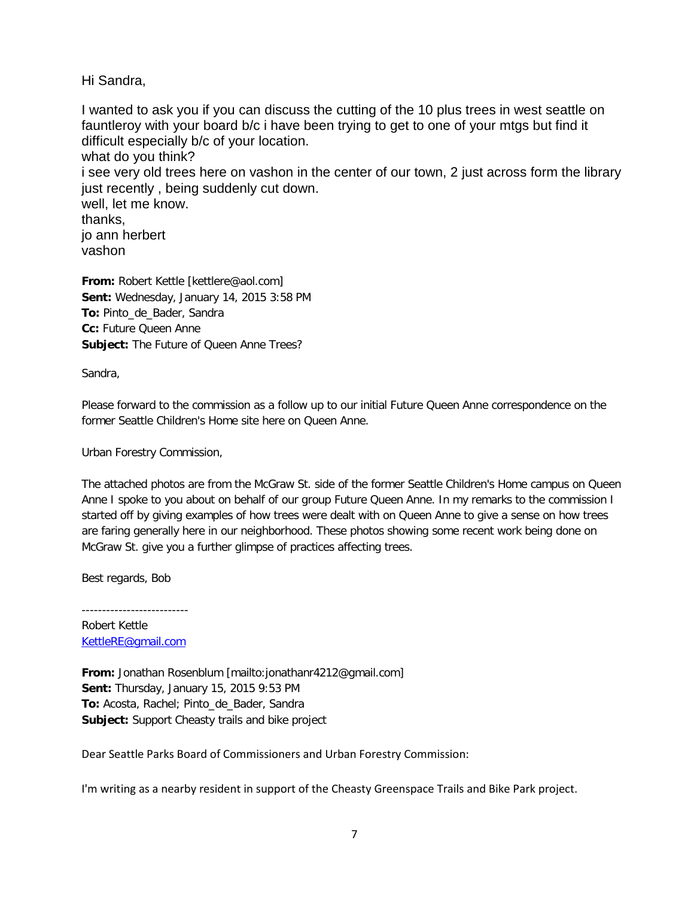Hi Sandra,

I wanted to ask you if you can discuss the cutting of the 10 plus trees in west seattle on fauntleroy with your board b/c i have been trying to get to one of your mtgs but find it difficult especially b/c of your location. what do you think? i see very old trees here on vashon in the center of our town, 2 just across form the library just recently , being suddenly cut down. well, let me know. thanks, jo ann herbert vashon

**From:** Robert Kettle [kettlere@aol.com] **Sent:** Wednesday, January 14, 2015 3:58 PM **To:** Pinto\_de\_Bader, Sandra **Cc:** Future Queen Anne **Subject:** The Future of Queen Anne Trees?

Sandra,

Please forward to the commission as a follow up to our initial Future Queen Anne correspondence on the former Seattle Children's Home site here on Queen Anne.

Urban Forestry Commission,

The attached photos are from the McGraw St. side of the former Seattle Children's Home campus on Queen Anne I spoke to you about on behalf of our group Future Queen Anne. In my remarks to the commission I started off by giving examples of how trees were dealt with on Queen Anne to give a sense on how trees are faring generally here in our neighborhood. These photos showing some recent work being done on McGraw St. give you a further glimpse of practices affecting trees.

Best regards, Bob

--------------------------

Robert Kettle [KettleRE@gmail.com](https://email.seattle.gov/owa/redir.aspx?SURL=azyJ2BHMuJKBjoBjUKKbHVXJeq-iWXx4eTLtjcGt73gsk92nb_7RCG0AYQBpAGwAdABvADoASwBlAHQAdABsAGUAUgBFAEAAZwBtAGEAaQBsAC4AYwBvAG0A&URL=mailto%3aKettleRE%40gmail.com)

**From:** Jonathan Rosenblum [mailto:jonathanr4212@gmail.com] **Sent:** Thursday, January 15, 2015 9:53 PM **To:** Acosta, Rachel; Pinto\_de\_Bader, Sandra **Subject:** Support Cheasty trails and bike project

Dear Seattle Parks Board of Commissioners and Urban Forestry Commission:

I'm writing as a nearby resident in support of the Cheasty Greenspace Trails and Bike Park project.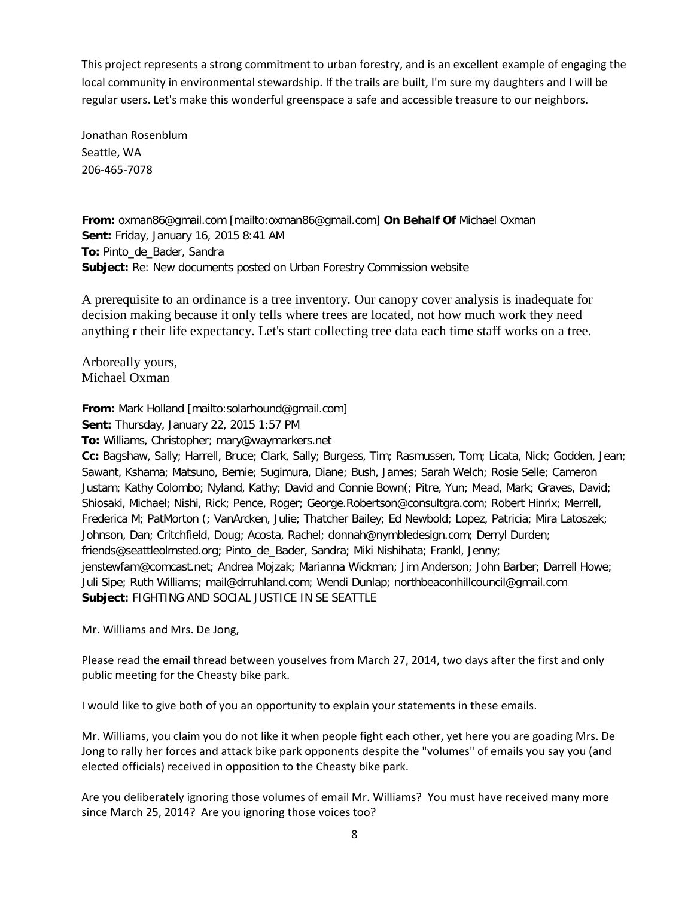This project represents a strong commitment to urban forestry, and is an excellent example of engaging the local community in environmental stewardship. If the trails are built, I'm sure my daughters and I will be regular users. Let's make this wonderful greenspace a safe and accessible treasure to our neighbors.

Jonathan Rosenblum Seattle, WA 206-465-7078

**From:** oxman86@gmail.com [mailto:oxman86@gmail.com] **On Behalf Of** Michael Oxman **Sent:** Friday, January 16, 2015 8:41 AM **To:** Pinto\_de\_Bader, Sandra **Subject:** Re: New documents posted on Urban Forestry Commission website

A prerequisite to an ordinance is a tree inventory. Our canopy cover analysis is inadequate for decision making because it only tells where trees are located, not how much work they need anything r their life expectancy. Let's start collecting tree data each time staff works on a tree.

Arboreally yours, Michael Oxman

**From:** Mark Holland [mailto:solarhound@gmail.com] **Sent:** Thursday, January 22, 2015 1:57 PM

**To:** Williams, Christopher; mary@waymarkers.net

**Cc:** Bagshaw, Sally; Harrell, Bruce; Clark, Sally; Burgess, Tim; Rasmussen, Tom; Licata, Nick; Godden, Jean; Sawant, Kshama; Matsuno, Bernie; Sugimura, Diane; Bush, James; Sarah Welch; Rosie Selle; Cameron Justam; Kathy Colombo; Nyland, Kathy; David and Connie Bown(; Pitre, Yun; Mead, Mark; Graves, David; Shiosaki, Michael; Nishi, Rick; Pence, Roger; George.Robertson@consultgra.com; Robert Hinrix; Merrell, Frederica M; PatMorton (; VanArcken, Julie; Thatcher Bailey; Ed Newbold; Lopez, Patricia; Mira Latoszek; Johnson, Dan; Critchfield, Doug; Acosta, Rachel; donnah@nymbledesign.com; Derryl Durden; friends@seattleolmsted.org; Pinto\_de\_Bader, Sandra; Miki Nishihata; Frankl, Jenny; jenstewfam@comcast.net; Andrea Mojzak; Marianna Wickman; Jim Anderson; John Barber; Darrell Howe; Juli Sipe; Ruth Williams; mail@drruhland.com; Wendi Dunlap; northbeaconhillcouncil@gmail.com **Subject:** FIGHTING AND SOCIAL JUSTICE IN SE SEATTLE

Mr. Williams and Mrs. De Jong,

Please read the email thread between youselves from March 27, 2014, two days after the first and only public meeting for the Cheasty bike park.

I would like to give both of you an opportunity to explain your statements in these emails.

Mr. Williams, you claim you do not like it when people fight each other, yet here you are goading Mrs. De Jong to rally her forces and attack bike park opponents despite the "volumes" of emails you say you (and elected officials) received in opposition to the Cheasty bike park.

Are you deliberately ignoring those volumes of email Mr. Williams? You must have received many more since March 25, 2014? Are you ignoring those voices too?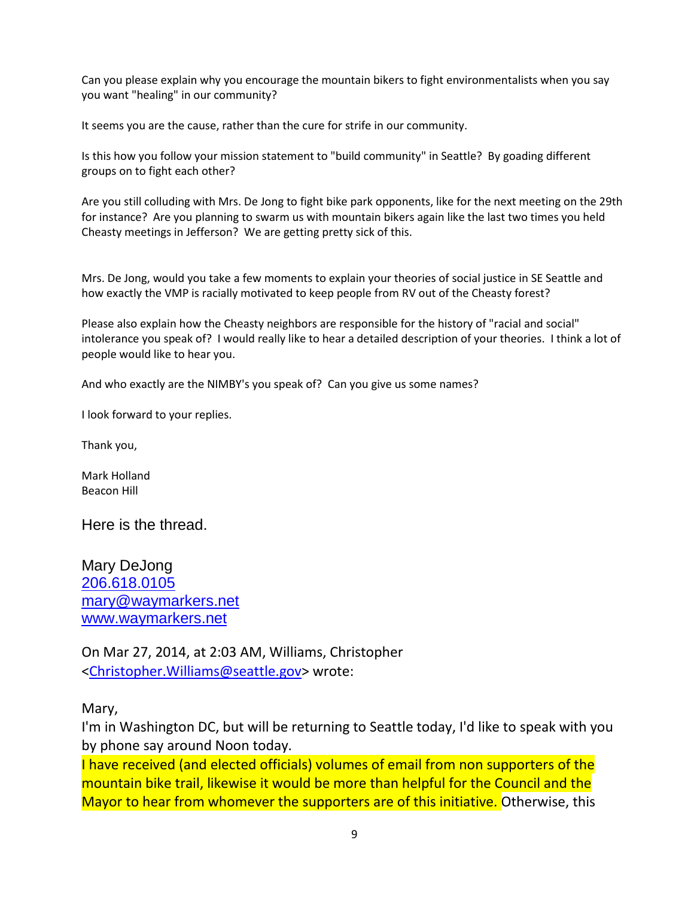Can you please explain why you encourage the mountain bikers to fight environmentalists when you say you want "healing" in our community?

It seems you are the cause, rather than the cure for strife in our community.

Is this how you follow your mission statement to "build community" in Seattle? By goading different groups on to fight each other?

Are you still colluding with Mrs. De Jong to fight bike park opponents, like for the next meeting on the 29th for instance? Are you planning to swarm us with mountain bikers again like the last two times you held Cheasty meetings in Jefferson? We are getting pretty sick of this.

Mrs. De Jong, would you take a few moments to explain your theories of social justice in SE Seattle and how exactly the VMP is racially motivated to keep people from RV out of the Cheasty forest?

Please also explain how the Cheasty neighbors are responsible for the history of "racial and social" intolerance you speak of? I would really like to hear a detailed description of your theories. I think a lot of people would like to hear you.

And who exactly are the NIMBY's you speak of? Can you give us some names?

I look forward to your replies.

Thank you,

Mark Holland Beacon Hill

Here is the thread.

Mary DeJong [206.618.0105](tel:206.618.0105) [mary@waymarkers.net](mailto:mary@waymarkers.net) [www.waymarkers.net](http://www.waymarkers.net/)

On Mar 27, 2014, at 2:03 AM, Williams, Christopher [<Christopher.Williams@seattle.gov>](mailto:Christopher.Williams@seattle.gov) wrote:

Mary,

I'm in Washington DC, but will be returning to Seattle today, I'd like to speak with you by phone say around Noon today.

I have received (and elected officials) volumes of email from non supporters of the mountain bike trail, likewise it would be more than helpful for the Council and the Mayor to hear from whomever the supporters are of this initiative. Otherwise, this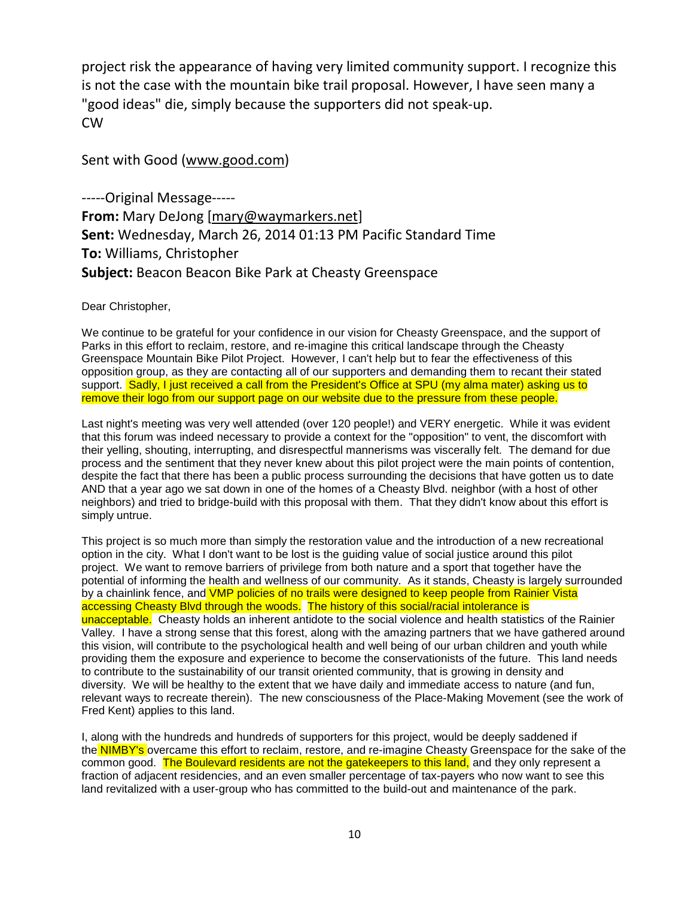project risk the appearance of having very limited community support. I recognize this is not the case with the mountain bike trail proposal. However, I have seen many a "good ideas" die, simply because the supporters did not speak-up. CW

Sent with Good [\(www.good.com\)](http://www.good.com/)

-----Original Message----- **From:** Mary DeJong [\[mary@waymarkers.net\]](mailto:mary@waymarkers.net) **Sent:** Wednesday, March 26, 2014 01:13 PM Pacific Standard Time **To:** Williams, Christopher **Subject:** Beacon Beacon Bike Park at Cheasty Greenspace

Dear Christopher,

We continue to be grateful for your confidence in our vision for Cheasty Greenspace, and the support of Parks in this effort to reclaim, restore, and re-imagine this critical landscape through the Cheasty Greenspace Mountain Bike Pilot Project. However, I can't help but to fear the effectiveness of this opposition group, as they are contacting all of our supporters and demanding them to recant their stated support. Sadly, I just received a call from the President's Office at SPU (my alma mater) asking us to remove their logo from our support page on our website due to the pressure from these people.

Last night's meeting was very well attended (over 120 people!) and VERY energetic. While it was evident that this forum was indeed necessary to provide a context for the "opposition" to vent, the discomfort with their yelling, shouting, interrupting, and disrespectful mannerisms was viscerally felt. The demand for due process and the sentiment that they never knew about this pilot project were the main points of contention, despite the fact that there has been a public process surrounding the decisions that have gotten us to date AND that a year ago we sat down in one of the homes of a Cheasty Blvd. neighbor (with a host of other neighbors) and tried to bridge-build with this proposal with them. That they didn't know about this effort is simply untrue.

This project is so much more than simply the restoration value and the introduction of a new recreational option in the city. What I don't want to be lost is the guiding value of social justice around this pilot project. We want to remove barriers of privilege from both nature and a sport that together have the potential of informing the health and wellness of our community. As it stands, Cheasty is largely surrounded by a chainlink fence, and VMP policies of no trails were designed to keep people from Rainier Vista accessing Cheasty Blvd through the woods. The history of this social/racial intolerance is unacceptable. Cheasty holds an inherent antidote to the social violence and health statistics of the Rainier Valley. I have a strong sense that this forest, along with the amazing partners that we have gathered around this vision, will contribute to the psychological health and well being of our urban children and youth while providing them the exposure and experience to become the conservationists of the future. This land needs to contribute to the sustainability of our transit oriented community, that is growing in density and diversity. We will be healthy to the extent that we have daily and immediate access to nature (and fun, relevant ways to recreate therein). The new consciousness of the Place-Making Movement (see the work of Fred Kent) applies to this land.

I, along with the hundreds and hundreds of supporters for this project, would be deeply saddened if the NIMBY's overcame this effort to reclaim, restore, and re-imagine Cheasty Greenspace for the sake of the common good. The Boulevard residents are not the gatekeepers to this land, and they only represent a fraction of adjacent residencies, and an even smaller percentage of tax-payers who now want to see this land revitalized with a user-group who has committed to the build-out and maintenance of the park.